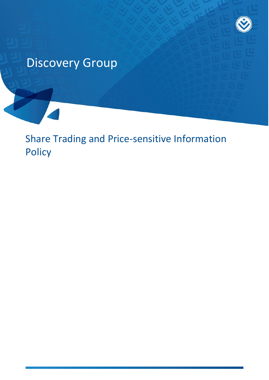

# Discovery Group

Share Trading and Price-sensitive Information **Policy**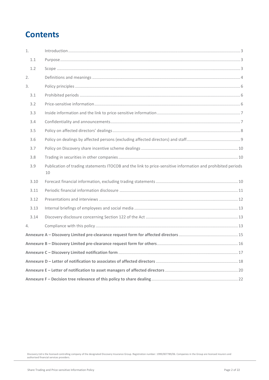### **Contents**

<span id="page-1-0"></span>

| 1.   | $\int_0^{\pi} \frac{1}{2} \int_0^{\pi} \frac{1}{2} \int_0^{\pi} \frac{1}{2} \int_0^{\pi} \frac{1}{2} \int_0^{\pi} \frac{1}{2} \int_0^{\pi} \frac{1}{2} \int_0^{\pi} \frac{1}{2} \int_0^{\pi} \frac{1}{2} \int_0^{\pi} \frac{1}{2} \int_0^{\pi} \frac{1}{2} \int_0^{\pi} \frac{1}{2} \int_0^{\pi} \frac{1}{2} \int_0^{\pi} \frac{1}{2} \int_0^{\pi} \frac{1}{2} \int_0^{\pi} \frac$ |  |
|------|------------------------------------------------------------------------------------------------------------------------------------------------------------------------------------------------------------------------------------------------------------------------------------------------------------------------------------------------------------------------------------|--|
| 1.1  |                                                                                                                                                                                                                                                                                                                                                                                    |  |
| 1.2  |                                                                                                                                                                                                                                                                                                                                                                                    |  |
| 2.   |                                                                                                                                                                                                                                                                                                                                                                                    |  |
| 3.   |                                                                                                                                                                                                                                                                                                                                                                                    |  |
| 3.1  |                                                                                                                                                                                                                                                                                                                                                                                    |  |
| 3.2  |                                                                                                                                                                                                                                                                                                                                                                                    |  |
| 3.3  |                                                                                                                                                                                                                                                                                                                                                                                    |  |
| 3.4  |                                                                                                                                                                                                                                                                                                                                                                                    |  |
| 3.5  |                                                                                                                                                                                                                                                                                                                                                                                    |  |
| 3.6  |                                                                                                                                                                                                                                                                                                                                                                                    |  |
| 3.7  |                                                                                                                                                                                                                                                                                                                                                                                    |  |
| 3.8  |                                                                                                                                                                                                                                                                                                                                                                                    |  |
| 3.9  | Publication of trading statements ITOCOB and the link to price-sensitive information and prohibited periods<br>10                                                                                                                                                                                                                                                                  |  |
| 3.10 |                                                                                                                                                                                                                                                                                                                                                                                    |  |
| 3.11 |                                                                                                                                                                                                                                                                                                                                                                                    |  |
| 3.12 |                                                                                                                                                                                                                                                                                                                                                                                    |  |
| 3.13 |                                                                                                                                                                                                                                                                                                                                                                                    |  |
| 3.14 |                                                                                                                                                                                                                                                                                                                                                                                    |  |
| 4.   |                                                                                                                                                                                                                                                                                                                                                                                    |  |
|      |                                                                                                                                                                                                                                                                                                                                                                                    |  |
|      |                                                                                                                                                                                                                                                                                                                                                                                    |  |
|      |                                                                                                                                                                                                                                                                                                                                                                                    |  |
|      |                                                                                                                                                                                                                                                                                                                                                                                    |  |
|      |                                                                                                                                                                                                                                                                                                                                                                                    |  |
|      |                                                                                                                                                                                                                                                                                                                                                                                    |  |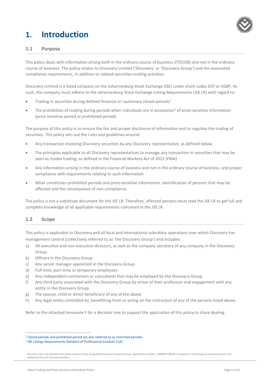### **1. Introduction**



#### <span id="page-2-0"></span>**1.1 Purpose**

This policy deals with information arising both in the ordinary course of business (ITOCOB) and not in the ordinary course of business. The policy relates to Discovery Limited ('Discovery' or 'Discovery Group') and the associated compliance requirements, in addition to related securities-trading activities.

Discovery Limited is a listed company on the Johannesburg Stock Exchange (JSE) under share codes DSY or DSBP. As such, the company must adhere to the Johannesburg Stock Exchange Listing Requirements (JSE LR) with regard to:

- Trading in securities during defined financial or cautionary closed periods<sup>1</sup>
- The prohibition of trading during periods when individuals are in possession<sup>2</sup> of price-sensitive information (price-sensitive period or prohibited period).

The purpose of this policy is to ensure the fair and proper disclosure of information and to regulate the trading of securities. This policy sets out the rules and guidelines around:

- Any transaction involving Discovery securities by any Discovery representative, as defined below
- The principles applicable to all Discovery representatives to manage any transaction in securities that may be seen as insider trading, as defined in the Financial Markets Act of 2012 (FMA)
- Any information arising in the ordinary course of business and not in the ordinary course of business, and proper compliance with requirements relating to such information
- What constitutes prohibited periods and price-sensitive information, identification of persons that may be affected and the consequence of non-compliance.

The policy is not a substitute document for the JSE LR. Therefore, affected persons must read the JSE LR to get full and complete knowledge of all applicable requirements contained in the JSE LR.

#### <span id="page-2-1"></span>**1.2 Scope**

 $\overline{a}$ 

This policy is applicable to Discovery and all local and international subsidiary operations over which Discovery has management control (collectively referred to as 'the Discovery Group') and includes:

- a) All executive and non-executive directors, as well as the company secretary of any company in the Discovery Group
- b) Officers in the Discovery Group
- c) Any senior manager appointed in the Discovery Group
- d) Full-time, part-time or temporary employees
- e) Any independent contractors or consultants that may be employed by the Discovery Group
- f) Any third party associated with the Discovery Group by virtue of their profession and engagement with any entity in the Discovery Group
- g) The spouse, child or direct beneficiary of any of the above
- h) Any legal entity controlled by, benefitting from or acting on the instruction of any of the persons listed above.

Refer to the attached Annexure F for a decision tree to support the application of this policy to share dealing.

<sup>&</sup>lt;sup>1</sup> Closed periods and prohibited period are also referred to as restricted periods.

<sup>2</sup> JSE Listings Requirements Standard of Professional Conduct II (A)

Discovery Ltd is the licensed controlling company of the designated Discovery Insurance Group. Registration number: 1999/007789/06. Companies in the Group are licensed insurers and authorised financial services providers.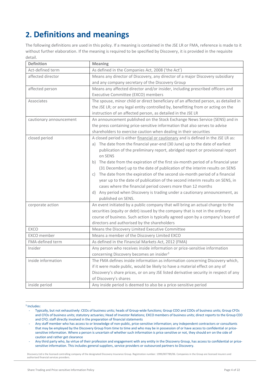## <span id="page-3-0"></span>**2. Definitions and meanings**

The following definitions are used in this policy. If a meaning is contained in the JSE LR or FMA, reference is made to it without further elaboration. If the meaning is required to be specified by Discovery, it is provided in the requisite detail.

| <b>Definition</b>       | <b>Meaning</b>                                                                       |
|-------------------------|--------------------------------------------------------------------------------------|
| Act-defined term        | As defined in the Companies Act, 2008 ('the Act')                                    |
| affected director       | Means any director of Discovery, any director of a major Discovery subsidiary        |
|                         | and any company secretary of the Discovery Group                                     |
| affected person         | Means any affected director and/or insider, including prescribed officers and        |
|                         | Executive Committee (EXCO) members                                                   |
| Associates              | The spouse, minor child or direct beneficiary of an affected person, as detailed in  |
|                         | the JSE LR; or any legal entity controlled by, benefitting from or acting on the     |
|                         | instruction of an affected person, as detailed in the JSE LR                         |
| cautionary announcement | An announcement published on the Stock Exchange News Service (SENS) and in           |
|                         | the press containing price-sensitive information that also serves to advise          |
|                         | shareholders to exercise caution when dealing in their securities                    |
| closed period           | A closed period is either financial or cautionary and is defined in the JSE LR as:   |
|                         | a) The date from the financial year-end (30 June) up to the date of earliest         |
|                         | publication of the preliminary report, abridged report or provisional report         |
|                         | on SENS                                                                              |
|                         | b) The date from the expiration of the first six-month period of a financial year    |
|                         | (31 December) up to the date of publication of the interim results on SENS           |
|                         | c) The date from the expiration of the second six-month period of a financial        |
|                         | year up to the date of publication of the second interim results on SENS, in         |
|                         | cases where the financial period covers more than 12 months                          |
|                         | d) Any period when Discovery is trading under a cautionary announcement, as          |
|                         | published on SENS.                                                                   |
| corporate action        | An event initiated by a public company that will bring an actual change to the       |
|                         | securities (equity or debt) issued by the company that is not in the ordinary        |
|                         | course of business. Such action is typically agreed upon by a company's board of     |
|                         | directors and authorised by the shareholders                                         |
| <b>EXCO</b>             | Means the Discovery Limited Executive Committee                                      |
| EXCO member             | Means a member of the Discovery Limited EXCO                                         |
| FMA-defined term        | As defined in the Financial Markets Act, 2012 (FMA)                                  |
| Insider                 | Any person who receives inside information or price-sensitive information            |
|                         | concerning Discovery becomes an insider <sup>3</sup>                                 |
| inside information      | The FMA defines inside information as information concerning Discovery which,        |
|                         | if it were made public, would be likely to have a material effect on any of          |
|                         | Discovery's share prices, or on any JSE listed derivative security in respect of any |
|                         | of Discovery's shares                                                                |
| inside period           | Any inside period is deemed to also be a price-sensitive period                      |

#### 3 Includes:

 $\overline{a}$ 

<sup>-</sup> Typically, but not exhaustively: CEOs of business units; heads of Group-wide functions; Group COO and COOs of business units; Group CFOs and CFOs of business units; statutory actuaries; Head of Investor Relations; EXCO members of business units; direct reports to the Group CEO and CFO; staff directly involved in the preparation of financial statements

<sup>-</sup> Any staff member who has access to or knowledge of non-public, price-sensitive information; any independent contractors or consultants that may be employed by the Discovery Group from time to time and who may be in possession of or have access to confidential or pricesensitive information. Where a person is uncertain of whether such information is price sensitive or not, they should err on the side of caution and rather get clearance

<sup>-</sup> Any third party who, by virtue of their profession and engagement with any entity in the Discovery Group, has access to confidential or pricesensitive information. This includes general suppliers, service providers or outsourced partners to Discovery.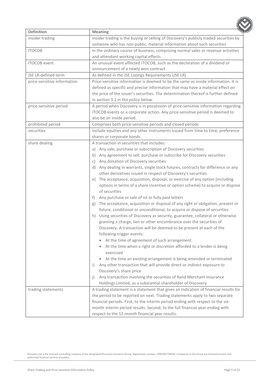| <b>Definition</b>           | <b>Meaning</b>                                                                                  |
|-----------------------------|-------------------------------------------------------------------------------------------------|
| insider trading             | Insider trading is the buying or selling of Discovery's publicly traded securities by           |
|                             | someone who has non-public, material information about such securities                          |
| <b>ITOCOB</b>               | In the ordinary course of business, comprising normal sales or revenue activities               |
|                             | and attendant working capital effects                                                           |
| <b>ITOCOB</b> event         | An unusual event affected ITOCOB, such as the declaration of a dividend or                      |
|                             | announcement of a newly won contract                                                            |
| JSE LR-defined term         | As defined in the JSE Listings Requirements (JSE LR)                                            |
| price-sensitive information | Price-sensitive information is deemed to be the same as inside information. It is               |
|                             | defined as specific and precise information that may have a material effect on                  |
|                             | the price of the issuer's securities. The determination thereof is further defined              |
|                             | in section 3.1 in the policy below.                                                             |
| price-sensitive period      | A period when Discovery is in possession of price-sensitive information regarding               |
|                             | ITOCOB events or a corporate action. Any price-sensitive period is deemed to                    |
|                             | also be an inside period.                                                                       |
| prohibited period           | Comprises both price-sensitive periods and closed periods                                       |
| securities                  | Include equities and any other instruments issued from time to time, preference                 |
|                             | shares or corporate bonds                                                                       |
| share dealing               | A transaction in securities that includes:                                                      |
|                             | Any sale, purchase or subscription of Discovery securities<br>a)                                |
|                             | b) Any agreement to sell, purchase or subscribe for Discovery securities                        |
|                             | Any donation of Discovery securities<br>C)                                                      |
|                             | d) Any dealing in warrants, single stock futures, contracts for difference or any               |
|                             | other derivatives issued in respect of Discovery's securities                                   |
|                             | e) The acceptance, acquisition, disposal, or exercise of any option (including                  |
|                             | options in terms of a share incentive or option scheme) to acquire or dispose                   |
|                             | of securities                                                                                   |
|                             | Any purchase or sale of nil or fully paid letters<br>$\ddagger$                                 |
|                             | The acceptance, acquisition or disposal of any right or obligation, present or<br>g)            |
|                             | future, conditional or unconditional, to acquire or dispose of securities                       |
|                             | h) Using securities of Discovery as security, guarantee, collateral or otherwise                |
|                             | granting a charge, lien or other encumbrance over the securities of                             |
|                             | Discovery. A transaction will be deemed to be present at each of the                            |
|                             | following trigger events:                                                                       |
|                             | At the time of agreement of such arrangement                                                    |
|                             | At the time when a right or discretion afforded to a lender is being                            |
|                             | exercised                                                                                       |
|                             | At the time an existing arrangement is being amended or terminated<br>$\bullet$                 |
|                             | Any other transaction that will provide direct or indirect exposure to<br>$\vert \cdot \rangle$ |
|                             | Discovery's share price                                                                         |
|                             | Any transaction involving the securities of Rand Merchant Insurance<br>j)                       |
|                             | Holdings Limited, as a substantial shareholder of Discovery                                     |
| trading statements          | A trading statement is a statement that gives an indication of financial results for            |
|                             | the period to be reported on next. Trading statements apply to two separate                     |
|                             | financial periods. First, to the interim period ending with respect to the six-                 |
|                             | month interim period results. Second, to the full financial year ending with                    |
|                             | respect to the 12-month financial year results.                                                 |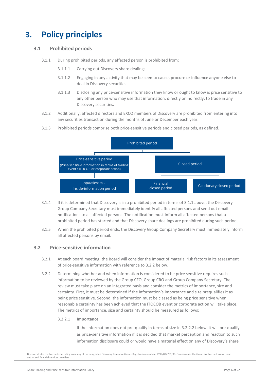### <span id="page-5-0"></span>**3. Policy principles**

#### <span id="page-5-3"></span><span id="page-5-1"></span>**3.1 Prohibited periods**

- 3.1.1 During prohibited periods, any affected person is prohibited from:
	- 3.1.1.1 Carrying out Discovery share dealings
	- 3.1.1.2 Engaging in any activity that may be seen to cause, procure or influence anyone else to deal in Discovery securities
	- 3.1.1.3 Disclosing any price-sensitive information they know or ought to know is price sensitive to any other person who may use that information, directly or indirectly, to trade in any Discovery securities.
- 3.1.2 Additionally, affected directors and EXCO members of Discovery are prohibited from entering into any securities transaction during the months of June or December each year.
- 3.1.3 Prohibited periods comprise both price-sensitive periods and closed periods, as defined.



- 3.1.4 If it is determined that Discovery is in a prohibited period in terms of [3.1.1](#page-5-3) above, the Discovery Group Company Secretary must immediately identify all affected persons and send out email notifications to all affected persons. The notification must inform all affected persons that a prohibited period has started and that Discovery share dealings are prohibited during such period.
- 3.1.5 When the prohibited period ends, the Discovery Group Company Secretary must immediately inform all affected persons by email.

#### <span id="page-5-2"></span>**3.2 Price-sensitive information**

- 3.2.1 At each board meeting, the Board will consider the impact of material risk factors in its assessment of price-sensitive information with reference t[o 3.2.2](#page-5-4) below.
- <span id="page-5-4"></span>3.2.2 Determining whether and when information is considered to be price sensitive requires such information to be reviewed by the Group CFO, Group CRO and Group Company Secretary. The review must take place on an integrated basis and consider the metrics of importance, size and certainty. First, it must be determined if the information's importance and size prequalifies it as being price sensitive. Second, the information must be classed as being price sensitive when reasonable certainty has been achieved that the ITOCOB event or corporate action will take place. The metrics of importance, size and certainty should be measured as follows:

#### 3.2.2.1 **Importance**

If the information does not pre-qualify in terms of size in [3.2.2.2](#page-6-2) below, it will pre-qualify as price-sensitive information if it is decided that market perception and reaction to such information disclosure could or would have a material effect on any of Discovery's share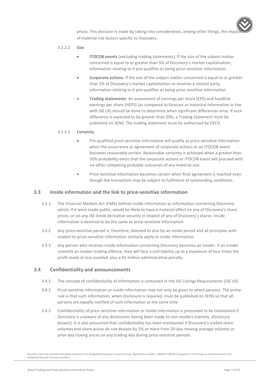

#### <span id="page-6-2"></span>3.2.2.2 **Size**

- **ITOCOB events** (excluding trading statements): If the size of the subject matter concerned is equal to or greater than 5% of Discovery's market capitalisation, information relating to it pre-qualifies as being price-sensitive information.
- **Corporate actions**: If the size of the subject matter concerned is equal to or greater than 5% of Discovery's market capitalisation or involves a related party, information relating to it pre-qualifies as being price-sensitive information.
- **Trading statements**: An assessment of earnings per share (EPS) and headline earnings per share (HEPS) (as compared to forecast or historical information in line with JSE LR) should be done to determine when significant differences arise. If such difference is expected to be greater than 20%, a Trading Statement must be published on SENS. The trading statement must be authorised by EXCO.

#### 3.2.2.3 **Certainty**

- Pre-qualified price-sensitive information will qualify as price-sensitive information when the occurrence or agreement of corporate actions or an ITOCOB event becomes reasonably certain. Reasonable certainty is achieved when a greater than 50% probability exists that the corporate actions or ITOCOB event will proceed with no other competing probable outcomes of any material size.
- Price-sensitive information becomes certain when final agreement is reached even though the transaction may be subject to fulfilment of outstanding conditions.

#### <span id="page-6-0"></span>**3.3 Inside information and the link to price-sensitive information**

- 3.3.1 The Financial Markets Act (FMA) defines inside information as information concerning Discovery which, if it were made public, would be likely to have a material effect on any of Discovery's share prices, or on any JSE-listed derivative security in respect of any of Discovery's shares. Inside information is deemed to be the same as price-sensitive information.
- 3.3.2 Any price-sensitive period is, therefore, deemed to also be an inside period and all principles with respect to price-sensitive information similarly apply to inside information.
- 3.3.3 Any person who receives inside information concerning Discovery becomes an insider. If an insider commits an insider-trading offence, they will face a civil liability up to a maximum of four times the profit made or loss avoided, plus a R1 million administrative penalty.

#### <span id="page-6-1"></span>**3.4 Confidentiality and announcements**

- 3.4.1 The concept of confidentiality of information is contained in the JSE Listings Requirements (JSE LR).
- 3.4.2 Price-sensitive information or inside information may not only be given to select persons. The prime rule is that such information, when disclosure is required, must be published on SENS so that all persons are equally notified of such information at the same time.
- 3.4.3 Confidentiality of price-sensitive information or inside information is presumed to be maintained if Discovery is unaware of any disclosures having been made to non-insiders (namely, disclosure breach). It is also presumed that confidentiality has been maintained if Discovery's traded share volumes and share prices do not deviate by 5% or more from 20-day moving average volumes or prior day closing prices on any trading day during price-sensitive periods.

Discovery Ltd is the licensed controlling company of the designated Discovery Insurance Group. Registration number: 1999/007789/06. Companies in the Group are licensed insurers and authorised financial services providers.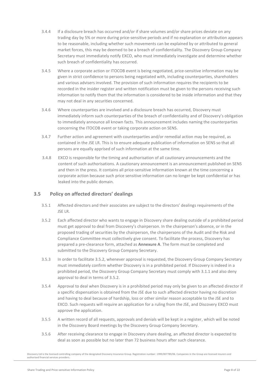- 3.4.4 If a disclosure breach has occurred and/or if share volumes and/or share prices deviate on any trading day by 5% or more during price-sensitive periods and if no explanation or attribution appears to be reasonable, including whether such movements can be explained by or attributed to general market forces, this may be deemed to be a breach of confidentiality. The Discovery Group Company Secretary must immediately notify EXCO, who must immediately investigate and determine whether such breach of confidentiality has occurred.
- 3.4.5 Where a corporate action or ITOCOB event is being negotiated, price-sensitive information may be given in strict confidence to persons being negotiated with, including counterparties, shareholders and various advisers involved. The provision of such information requires the recipients to be recorded in the insider register and written notification must be given to the persons receiving such information to notify them that the information is considered to be inside information and that they may not deal in any securities concerned.
- 3.4.6 Where counterparties are involved and a disclosure breach has occurred, Discovery must immediately inform such counterparties of the breach of confidentiality and of Discovery's obligation to immediately announce all known facts. This announcement includes naming the counterparties concerning the ITOCOB event or taking corporate action on SENS.
- 3.4.7 Further action and agreement with counterparties and/or remedial action may be required, as contained in the JSE LR. This is to ensure adequate publication of information on SENS so that all persons are equally apprised of such information at the same time.
- 3.4.8 EXCO is responsible for the timing and authorisation of all cautionary announcements and the content of such authorisations. A cautionary announcement is an announcement published on SENS and then in the press. It contains all price-sensitive information known at the time concerning a corporate action because such price sensitive information can no longer be kept confidential or has leaked into the public domain.

#### <span id="page-7-0"></span>**3.5 Policy on affected directors' dealings**

- 3.5.1 Affected directors and their associates are subject to the directors' dealings requirements of the JSE LR.
- <span id="page-7-1"></span>3.5.2 Each affected director who wants to engage in Discovery share dealing outside of a prohibited period must get approval to deal from Discovery's chairperson. In the chairperson's absence, or in the proposed trading of securities by the chairperson, the chairpersons of the Audit and the Risk and Compliance Committee must collectively give consent. To facilitate the process, Discovery has prepared a pre-clearance form, attached as **Annexure A**. The form must be completed and submitted to the Discovery Group Company Secretary.
- 3.5.3 In order to facilitate [3.5.2,](#page-7-1) whenever approval is requested, the Discovery Group Company Secretary must immediately confirm whether Discovery is in a prohibited period. If Discovery is indeed in a prohibited period, the Discovery Group Company Secretary must comply with [3.1.1](#page-5-3) and also deny approval to deal in terms of [3.5.2.](#page-7-1)
- 3.5.4 Approval to deal when Discovery is in a prohibited period may only be given to an affected director if a specific dispensation is obtained from the JSE due to such affected director having no discretion and having to deal because of hardship, loss or other similar reason acceptable to the JSE and to EXCO. Such requests will require an application for a ruling from the JSE, and Discovery EXCO must approve the application.
- 3.5.5 A written record of all requests, approvals and denials will be kept in a register, which will be noted in the Discovery Board meetings by the Discovery Group Company Secretary.
- 3.5.6 After receiving clearance to engage in Discovery share dealing, an affected director is expected to deal as soon as possible but no later than 72 business hours after such clearance.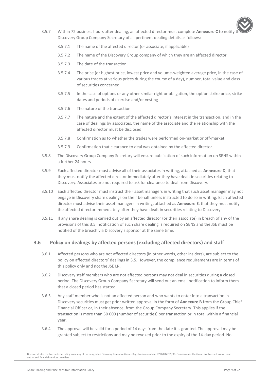

- 3.5.7 Within 72 business hours after dealing, an affected director must complete **Annexure C** to notify the Discovery Group Company Secretary of all pertinent dealing details as follows:
	- 3.5.7.1 The name of the affected director (or associate, if applicable)
	- 3.5.7.2 The name of the Discovery Group company of which they are an affected director
	- 3.5.7.3 The date of the transaction
	- 3.5.7.4 The price (or highest price, lowest price and volume-weighted average price, in the case of various trades at various prices during the course of a day), number, total value and class of securities concerned
	- 3.5.7.5 In the case of options or any other similar right or obligation, the option strike price, strike dates and periods of exercise and/or vesting
	- 3.5.7.6 The nature of the transaction
	- 3.5.7.7 The nature and the extent of the affected director's interest in the transaction, and in the case of dealings by associates, the name of the associate and the relationship with the affected director must be disclosed
	- 3.5.7.8 Confirmation as to whether the trades were performed on-market or off-market
	- 3.5.7.9 Confirmation that clearance to deal was obtained by the affected director.
- 3.5.8 The Discovery Group Company Secretary will ensure publication of such information on SENS within a further 24 hours.
- 3.5.9 Each affected director must advise all of their associates in writing, attached as **Annexure D**, that they must notify the affected director immediately after they have dealt in securities relating to Discovery. Associates are not required to ask for clearance to deal from Discovery.
- 3.5.10 Each affected director must instruct their asset managers in writing that such asset manager may not engage in Discovery share dealings on their behalf unless instructed to do so in writing. Each affected director must advise their asset managers in writing, attached as **Annexure E**, that they must notify the affected director immediately after they have dealt in securities relating to Discovery.
- 3.5.11 If any share dealing is carried out by an affected director (or their associate) in breach of any of the provisions of this [3.5,](#page-7-0) notification of such share dealing is required on SENS and the JSE must be notified of the breach via Discovery's sponsor at the same time.

#### <span id="page-8-0"></span>**3.6 Policy on dealings by affected persons (excluding affected directors) and staff**

- 3.6.1 Affected persons who are not affected directors (in other words, other insiders), are subject to the policy on affected directors' dealings in [3.5.](#page-7-0) However, the compliance requirements are in terms of this policy only and not the JSE LR.
- 3.6.2 Discovery staff members who are not affected persons may not deal in securities during a closed period. The Discovery Group Company Secretary will send out an email notification to inform them that a closed period has started.
- 3.6.3 Any staff member who is not an affected person and who wants to enter into a transaction in Discovery securities must get prior written approval in the form of **Annexure B** from the Group Chief Financial Officer or, in their absence, from the Group Company Secretary. This applies if the transaction is more than 50 000 (number of securities) per transaction or in total within a financial year.
- 3.6.4 The approval will be valid for a period of 14 days from the date it is granted. The approval may be granted subject to restrictions and may be revoked prior to the expiry of the 14-day period. No

Discovery Ltd is the licensed controlling company of the designated Discovery Insurance Group. Registration number: 1999/007789/06. Companies in the Group are licensed insurers and authorised financial services providers.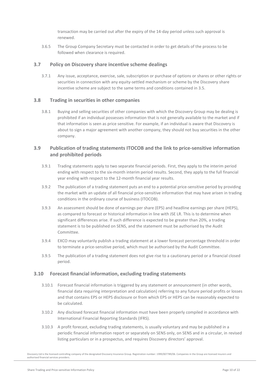transaction may be carried out after the expiry of the 14-day period unless such approval is renewed.

3.6.5 The Group Company Secretary must be contacted in order to get details of the process to be followed when clearance is required.

#### <span id="page-9-0"></span>**3.7 Policy on Discovery share incentive scheme dealings**

3.7.1 Any issue, acceptance, exercise, sale, subscription or purchase of options or shares or other rights or securities in connection with any equity-settled mechanism or scheme by the Discovery share incentive scheme are subject to the same terms and conditions contained in [3.5.](#page-7-0)

#### <span id="page-9-1"></span>**3.8 Trading in securities in other companies**

3.8.1 Buying and selling securities of other companies with which the Discovery Group may be dealing is prohibited if an individual possesses information that is not generally available to the market and if that information is seen as price sensitive. For example, if an individual is aware that Discovery is about to sign a major agreement with another company, they should not buy securities in the other company.

#### <span id="page-9-2"></span>**3.9 Publication of trading statements ITOCOB and the link to price-sensitive information and prohibited periods**

- 3.9.1 Trading statements apply to two separate financial periods. First, they apply to the interim period ending with respect to the six-month interim period results. Second, they apply to the full financial year ending with respect to the 12-month financial year results.
- 3.9.2 The publication of a trading statement puts an end to a potential price-sensitive period by providing the market with an update of all financial price-sensitive information that may have arisen in trading conditions in the ordinary course of business (ITOCOB).
- 3.9.3 An assessment should be done of earnings per share (EPS) and headline earnings per share (HEPS), as compared to forecast or historical information in line with JSE LR. This is to determine when significant differences arise. If such difference is expected to be greater than 20%, a trading statement is to be published on SENS, and the statement must be authorised by the Audit Committee.
- 3.9.4 EXCO may voluntarily publish a trading statement at a lower forecast percentage threshold in order to terminate a price-sensitive period, which must be authorised by the Audit Committee.
- 3.9.5 The publication of a trading statement does not give rise to a cautionary period or a financial closed period.

#### <span id="page-9-3"></span>**3.10 Forecast financial information, excluding trading statements**

- 3.10.1 Forecast financial information is triggered by any statement or announcement (in other words, financial data requiring interpretation and calculation) referring to any future period profits or losses and that contains EPS or HEPS disclosure or from which EPS or HEPS can be reasonably expected to be calculated.
- 3.10.2 Any disclosed forecast financial information must have been properly compiled in accordance with International Financial Reporting Standards (IFRS).
- 3.10.3 A profit forecast, excluding trading statements, is usually voluntary and may be published in a periodic financial information report or separately on SENS only, on SENS and in a circular, in revised listing particulars or in a prospectus, and requires Discovery directors' approval.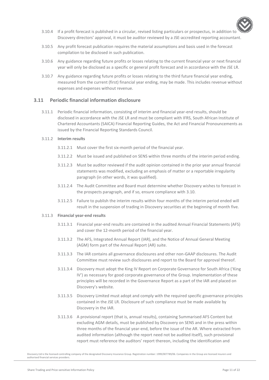

- 3.10.4 If a profit forecast is published in a circular, revised listing particulars or prospectus, in addition to Discovery directors' approval, it must be auditor reviewed by a JSE-accredited reporting accountant.
- 3.10.5 Any profit forecast publication requires the material assumptions and basis used in the forecast compilation to be disclosed in such publication.
- 3.10.6 Any guidance regarding future profits or losses relating to the current financial year or next financial year will only be disclosed as a specific or general profit forecast and in accordance with the JSE LR.
- 3.10.7 Any guidance regarding future profits or losses relating to the third future financial year ending, measured from the current (first) financial year ending, may be made. This includes revenue without expenses and expenses without revenue.

#### <span id="page-10-0"></span>**3.11 Periodic financial information disclosure**

3.11.1 Periodic financial information, consisting of interim and financial year-end results, should be disclosed in accordance with the JSE LR and must be compliant with IFRS, South African Institute of Chartered Accountants (SAICA) Financial Reporting Guides, the Act and Financial Pronouncements as issued by the Financial Reporting Standards Council.

#### 3.11.2 **Interim results**

- 3.11.2.1 Must cover the first six-month period of the financial year.
- 3.11.2.2 Must be issued and published on SENS within three months of the interim period ending.
- 3.11.2.3 Must be auditor reviewed if the audit opinion contained in the prior year annual financial statements was modified, excluding an emphasis of matter or a reportable irregularity paragraph (in other words, it was qualified).
- 3.11.2.4 The Audit Committee and Board must determine whether Discovery wishes to forecast in the prospects paragraph, and if so, ensure compliance with [3.10.](#page-9-3)
- 3.11.2.5 Failure to publish the interim results within four months of the interim period ended will result in the suspension of trading in Discovery securities at the beginning of month five.

#### 3.11.3 **Financial year-end results**

- 3.11.3.1 Financial year-end results are contained in the audited Annual Financial Statements (AFS) and cover the 12-month period of the financial year.
- 3.11.3.2 The AFS, Integrated Annual Report (IAR), and the Notice of Annual General Meeting (AGM) form part of the Annual Report (AR) suite.
- 3.11.3.3 The IAR contains all governance disclosures and other non-GAAP disclosures. The Audit Committee must review such disclosures and report to the Board for approval thereof.
- 3.11.3.4 Discovery must adopt the King IV Report on Corporate Governance for South Africa ('King IV') as necessary for good corporate governance of the Group. Implementation of these principles will be recorded in the Governance Report as a part of the IAR and placed on Discovery's website.
- 3.11.3.5 Discovery Limited must adopt and comply with the required specific governance principles contained in the JSE LR. Disclosure of such compliance must be made available by Discovery in the IAR.
- 3.11.3.6 A provisional report (that is, annual results), containing Summarised AFS Content but excluding AGM details, must be published by Discovery on SENS and in the press within three months of the financial year-end, before the issue of the AR. Where extracted from audited information (although the report need not be audited itself), such provisional report must reference the auditors' report thereon, including the identification and

Discovery Ltd is the licensed controlling company of the designated Discovery Insurance Group. Registration number: 1999/007789/06. Companies in the Group are licensed insurers and authorised financial services providers.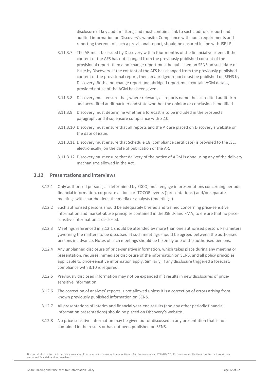disclosure of key audit matters, and must contain a link to such auditors' report and audited information on Discovery's website. Compliance with audit requirements and reporting thereon, of such a provisional report, should be ensured in line with JSE LR.

- 3.11.3.7 The AR must be issued by Discovery within four months of the financial year-end. If the content of the AFS has not changed from the previously published content of the provisional report, then a no-change report must be published on SENS on such date of issue by Discovery. If the content of the AFS has changed from the previously published content of the provisional report, then an abridged report must be published on SENS by Discovery. Both a no-change report and abridged report must contain AGM details, provided notice of the AGM has been given.
- 3.11.3.8 Discovery must ensure that, where relevant, all reports name the accredited audit firm and accredited audit partner and state whether the opinion or conclusion is modified.
- 3.11.3.9 Discovery must determine whether a forecast is to be included in the prospects paragraph, and if so, ensure compliance with [3.10.](#page-9-3)
- 3.11.3.10 Discovery must ensure that all reports and the AR are placed on Discovery's website on the date of issue.
- 3.11.3.11 Discovery must ensure that Schedule 18 (compliance certificate) is provided to the JSE, electronically, on the date of publication of the AR.
- 3.11.3.12 Discovery must ensure that delivery of the notice of AGM is done using any of the delivery mechanisms allowed in the Act.

#### <span id="page-11-1"></span><span id="page-11-0"></span>**3.12 Presentations and interviews**

- 3.12.1 Only authorised persons, as determined by EXCO, must engage in presentations concerning periodic financial information, corporate actions or ITOCOB events ('presentations') and/or separate meetings with shareholders, the media or analysts ('meetings').
- 3.12.2 Such authorised persons should be adequately briefed and trained concerning price-sensitive information and market-abuse principles contained in the JSE LR and FMA, to ensure that no pricesensitive information is disclosed.
- 3.12.3 Meetings referenced i[n 3.12.1](#page-11-1) should be attended by more than one authorised person. Parameters governing the matters to be discussed at such meetings should be agreed between the authorised persons in advance. Notes of such meetings should be taken by one of the authorised persons.
- 3.12.4 Any unplanned disclosure of price-sensitive information, which takes place during any meeting or presentation, requires immediate disclosure of the information on SENS, and all policy principles applicable to price-sensitive information apply. Similarly, if any disclosure triggered a forecast, compliance wit[h 3.10](#page-9-3) is required.
- 3.12.5 Previously disclosed information may not be expanded if it results in new disclosures of pricesensitive information.
- 3.12.6 The correction of analysts' reports is not allowed unless it is a correction of errors arising from known previously published information on SENS.
- 3.12.7 All presentations of interim and financial year-end results (and any other periodic financial information presentations) should be placed on Discovery's website.
- 3.12.8 No price-sensitive information may be given out or discussed in any presentation that is not contained in the results or has not been published on SENS.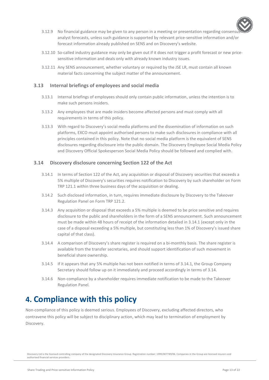

- 3.12.9 No financial guidance may be given to any person in a meeting or presentation regarding consens analyst forecasts, unless such guidance is supported by relevant price-sensitive information and/or forecast information already published on SENS and on Discovery's website.
- 3.12.10 So-called industry guidance may only be given out if it does not trigger a profit forecast or new pricesensitive information and deals only with already known industry issues.
- 3.12.11 Any SENS announcement, whether voluntary or required by the JSE LR, must contain all known material facts concerning the subject matter of the announcement.

#### <span id="page-12-0"></span>**3.13 Internal briefings of employees and social media**

- 3.13.1 Internal briefings of employees should only contain public information, unless the intention is to make such persons insiders.
- 3.13.2 Any employees that are made insiders become affected persons and must comply with all requirements in terms of this policy.
- 3.13.3 With regard to Discovery's social media platforms and the dissemination of information on such platforms, EXCO must appoint authorised persons to make such disclosures in compliance with all principles contained in this policy. Note that no social media platform is the equivalent of SENS disclosures regarding disclosure into the public domain. The Discovery Employee Social Media Policy and Discovery Official Spokesperson Social Media Policy should be followed and complied with.

#### <span id="page-12-3"></span><span id="page-12-1"></span>**3.14 Discovery disclosure concerning Section 122 of the Act**

- 3.14.1 In terms of Section 122 of the Act, any acquisition or disposal of Discovery securities that exceeds a 5% multiple of Discovery's securities requires notification to Discovery by such shareholder on Form TRP 121.1 within three business days of the acquisition or dealing.
- 3.14.2 Such disclosed information, in turn, requires immediate disclosure by Discovery to the Takeover Regulation Panel on Form TRP 121.2.
- 3.14.3 Any acquisition or disposal that exceeds a 5% multiple is deemed to be price sensitive and requires disclosure to the public and shareholders in the form of a SENS announcement. Such announcement must be made within 48 hours of receipt of the information detailed in [3.14.1](#page-12-3) (except only in the case of a disposal exceeding a 5% multiple, but constituting less than 1% of Discovery's issued share capital of that class).
- 3.14.4 A comparison of Discovery's share register is required on a bi-monthly basis. The share register is available from the transfer secretaries, and should support identification of such movement in beneficial share ownership.
- 3.14.5 If it appears that any 5% multiple has not been notified in terms of [3.14.1,](#page-12-3) the Group Company Secretary should follow up on it immediately and proceed accordingly in terms of [3.14.](#page-12-1)
- 3.14.6 Non-compliance by a shareholder requires immediate notification to be made to the Takeover Regulation Panel.

### <span id="page-12-2"></span>**4. Compliance with this policy**

Non-compliance of this policy is deemed serious. Employees of Discovery, excluding affected directors, who contravene this policy will be subject to disciplinary action, which may lead to termination of employment by Discovery.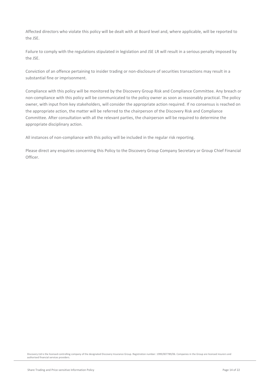Affected directors who violate this policy will be dealt with at Board level and, where applicable, will be reported to the JSE.

Failure to comply with the regulations stipulated in legislation and JSE LR will result in a serious penalty imposed by the JSE.

Conviction of an offence pertaining to insider trading or non-disclosure of securities transactions may result in a substantial fine or imprisonment.

Compliance with this policy will be monitored by the Discovery Group Risk and Compliance Committee. Any breach or non-compliance with this policy will be communicated to the policy owner as soon as reasonably practical. The policy owner, with input from key stakeholders, will consider the appropriate action required. If no consensus is reached on the appropriate action, the matter will be referred to the chairperson of the Discovery Risk and Compliance Committee. After consultation with all the relevant parties, the chairperson will be required to determine the appropriate disciplinary action.

All instances of non-compliance with this policy will be included in the regular risk reporting.

Please direct any enquiries concerning this Policy to the Discovery Group Company Secretary or Group Chief Financial Officer.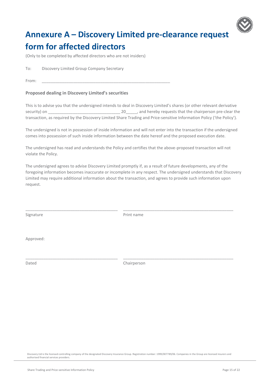

# <span id="page-14-0"></span>**Annexure A – Discovery Limited pre-clearance request form for affected directors**

(Only to be completed by affected directors who are not insiders)

To: Discovery Limited Group Company Secretary

From: \_\_\_\_\_\_\_\_\_\_\_\_\_\_\_\_\_\_\_\_\_\_\_\_\_\_\_\_\_\_\_\_\_\_\_\_\_\_\_\_\_\_\_\_\_\_\_\_\_\_\_\_\_\_\_\_\_

#### **Proposed dealing in Discovery Limited's securities**

This is to advise you that the undersigned intends to deal in Discovery Limited's shares (or other relevant derivative security) on \_\_\_\_\_\_\_\_\_\_\_\_\_\_\_\_\_\_\_\_\_\_\_\_\_\_\_\_\_\_\_\_ 20\_\_\_\_\_, and hereby requests that the chairperson pre-clear the transaction, as required by the Discovery Limited Share Trading and Price-sensitive Information Policy ('the Policy').

The undersigned is not in possession of inside information and will not enter into the transaction if the undersigned comes into possession of such inside information between the date hereof and the proposed execution date.

The undersigned has read and understands the Policy and certifies that the above-proposed transaction will not violate the Policy.

The undersigned agrees to advise Discovery Limited promptly if, as a result of future developments, any of the foregoing information becomes inaccurate or incomplete in any respect. The undersigned understands that Discovery Limited may require additional information about the transaction, and agrees to provide such information upon request.

Signature **Print name** 

\_\_\_\_\_\_\_\_\_\_\_\_\_\_\_\_\_\_\_\_\_\_\_\_\_\_\_\_\_\_\_\_\_\_\_\_\_\_\_\_\_ \_\_\_\_\_\_\_\_\_\_\_\_\_\_\_\_\_\_\_\_\_\_\_\_\_\_\_\_\_\_\_\_\_\_\_\_\_\_\_\_\_\_\_\_\_\_\_\_\_

Approved:

Dated Chairperson

\_\_\_\_\_\_\_\_\_\_\_\_\_\_\_\_\_\_\_\_\_\_\_\_\_\_\_\_\_\_\_\_\_\_\_\_\_\_\_\_\_ \_\_\_\_\_\_\_\_\_\_\_\_\_\_\_\_\_\_\_\_\_\_\_\_\_\_\_\_\_\_\_\_\_\_\_\_\_\_\_\_\_\_\_\_\_\_\_\_\_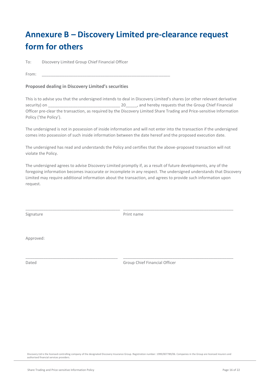# <span id="page-15-0"></span>**Annexure B – Discovery Limited pre-clearance request form for others**

To: Discovery Limited Group Chief Financial Officer

From: \_\_\_\_\_\_\_\_\_\_\_\_\_\_\_\_\_\_\_\_\_\_\_\_\_\_\_\_\_\_\_\_\_\_\_\_\_\_\_\_\_\_\_\_\_\_\_\_\_\_\_\_\_\_\_\_\_

#### **Proposed dealing in Discovery Limited's securities**

This is to advise you that the undersigned intends to deal in Discovery Limited's shares (or other relevant derivative security) on \_\_\_\_\_\_\_\_\_\_\_\_\_\_\_\_\_\_\_\_\_\_\_\_\_\_\_\_\_\_\_\_ 20\_\_\_\_\_, and hereby requests that the Group Chief Financial Officer pre-clear the transaction, as required by the Discovery Limited Share Trading and Price-sensitive Information Policy ('the Policy').

The undersigned is not in possession of inside information and will not enter into the transaction if the undersigned comes into possession of such inside information between the date hereof and the proposed execution date.

The undersigned has read and understands the Policy and certifies that the above-proposed transaction will not violate the Policy.

The undersigned agrees to advise Discovery Limited promptly if, as a result of future developments, any of the foregoing information becomes inaccurate or incomplete in any respect. The undersigned understands that Discovery Limited may require additional information about the transaction, and agrees to provide such information upon request.

Signature **Print name** 

\_\_\_\_\_\_\_\_\_\_\_\_\_\_\_\_\_\_\_\_\_\_\_\_\_\_\_\_\_\_\_\_\_\_\_\_\_\_\_\_\_\_ \_\_\_\_\_\_\_\_\_\_\_\_\_\_\_\_\_\_\_\_\_\_\_\_\_\_\_\_\_\_\_\_\_\_\_\_\_\_\_\_\_\_\_\_\_\_\_\_\_

\_\_\_\_\_\_\_\_\_\_\_\_\_\_\_\_\_\_\_\_\_\_\_\_\_\_\_\_\_\_\_\_\_\_\_\_\_\_\_\_\_ \_\_\_\_\_\_\_\_\_\_\_\_\_\_\_\_\_\_\_\_\_\_\_\_\_\_\_\_\_\_\_\_\_\_\_\_\_\_\_\_\_\_\_\_\_\_\_\_\_

Approved:

Dated Group Chief Financial Officer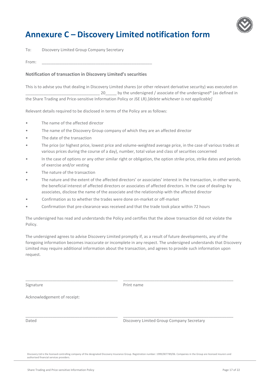

## <span id="page-16-0"></span>**Annexure C – Discovery Limited notification form**

To: Discovery Limited Group Company Secretary

From: \_\_\_\_\_\_\_\_\_\_\_\_\_\_\_\_\_\_\_\_\_\_\_\_\_\_\_\_\_\_\_\_\_\_\_\_\_\_\_\_\_\_\_\_\_\_\_\_\_

#### **Notification of transaction in Discovery Limited's securities**

This is to advise you that dealing in Discovery Limited shares (or other relevant derivative security) was executed on 20 by the undersigned / associate of the undersigned\* (as defined in the Share Trading and Price-sensitive Information Policy or JSE LR) *[delete whichever is not applicable]* 

Relevant details required to be disclosed in terms of the Policy are as follows:

- The name of the affected director
- The name of the Discovery Group company of which they are an affected director
- The date of the transaction
- The price (or highest price, lowest price and volume-weighted average price, in the case of various trades at various prices during the course of a day), number, total value and class of securities concerned
- In the case of options or any other similar right or obligation, the option strike price, strike dates and periods of exercise and/or vesting
- The nature of the transaction
- The nature and the extent of the affected directors' or associates' interest in the transaction, in other words, the beneficial interest of affected directors or associates of affected directors. In the case of dealings by associates, disclose the name of the associate and the relationship with the affected director
- Confirmation as to whether the trades were done on-market or off-market
- Confirmation that pre-clearance was received and that the trade took place within 72 hours

The undersigned has read and understands the Policy and certifies that the above transaction did not violate the Policy.

The undersigned agrees to advise Discovery Limited promptly if, as a result of future developments, any of the foregoing information becomes inaccurate or incomplete in any respect. The undersigned understands that Discovery Limited may require additional information about the transaction, and agrees to provide such information upon request.

Signature **Print name** 

\_\_\_\_\_\_\_\_\_\_\_\_\_\_\_\_\_\_\_\_\_\_\_\_\_\_\_\_\_\_\_\_\_\_\_\_\_\_\_\_\_ \_\_\_\_\_\_\_\_\_\_\_\_\_\_\_\_\_\_\_\_\_\_\_\_\_\_\_\_\_\_\_\_\_\_\_\_\_\_\_\_\_\_\_\_\_\_\_\_\_

\_\_\_\_\_\_\_\_\_\_\_\_\_\_\_\_\_\_\_\_\_\_\_\_\_\_\_\_\_\_\_\_\_\_\_\_\_\_\_\_\_ \_\_\_\_\_\_\_\_\_\_\_\_\_\_\_\_\_\_\_\_\_\_\_\_\_\_\_\_\_\_\_\_\_\_\_\_\_\_\_\_\_\_\_\_\_\_\_\_\_

Acknowledgement of receipt:

Dated Discovery Limited Group Company Secretary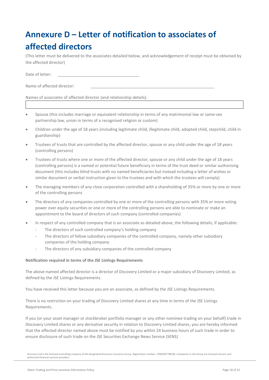# <span id="page-17-0"></span>**Annexure D – Letter of notification to associates of affected directors**

(This letter must be delivered to the associates detailed below, and acknowledgement of receipt must be obtained by the affected director)

Date of letter:

Name of affected director:

Names of associates of affected director (and relationship details):

- Spouse (this includes marriage or equivalent relationship in terms of any matrimonial law or same-sex partnership law, union in terms of a recognised religion or custom)
- Children under the age of 18 years (including legitimate child, illegitimate child, adopted child, stepchild, child in guardianship)
- Trustees of trusts that are controlled by the affected director, spouse or any child under the age of 18 years (controlling persons)
- Trustees of trusts where one or more of the affected director, spouse or any child under the age of 18 years (controlling persons) is a named or potential future beneficiary in terms of the trust deed or similar authorising document (this includes blind trusts with no named beneficiaries but instead including a letter of wishes or similar document or verbal instruction given to the trustees and with which the trustees will comply)
- The managing members of any close corporation controlled with a shareholding of 35% or more by one or more of the controlling persons
- The directors of any companies controlled by one or more of the controlling persons with 35% or more voting power over equity securities or one or more of the controlling persons are able to nominate or make an appointment to the board of directors of such company (controlled companies)
- In respect of any controlled company that is an associate as detailed above, the following details, if applicable:
	- The directors of such controlled company's holding company
	- The directors of fellow subsidiary companies of the controlled company, namely other subsidiary companies of the holding company
	- The directors of any subsidiary companies of the controlled company

#### **Notification required in terms of the JSE Listings Requirements**

The above-named affected director is a director of Discovery Limited or a major subsidiary of Discovery Limited, as defined by the JSE Listings Requirements.

You have received this letter because you are an associate, as defined by the JSE Listings Requirements.

There is no restriction on your trading of Discovery Limited shares at any time in terms of the JSE Listings Requirements.

If you (or your asset manager or stockbroker portfolio manager or any other nominee trading on your behalf) trade in Discovery Limited shares or any derivative security in relation to Discovery Limited shares, you are hereby informed that the affected director named above must be notified by you within 24 business hours of such trade in order to ensure disclosure of such trade on the JSE Securities Exchange News Service (SENS)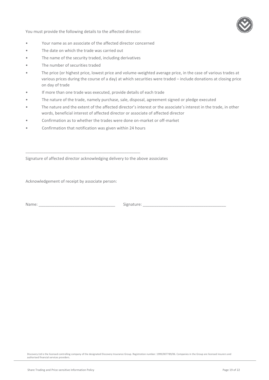You must provide the following details to the affected director:



- Your name as an associate of the affected director concerned
- The date on which the trade was carried out
- The name of the security traded, including derivatives
- The number of securities traded
- The price (or highest price, lowest price and volume-weighted average price, in the case of various trades at various prices during the course of a day) at which securities were traded – include donations at closing price on day of trade
- If more than one trade was executed, provide details of each trade
- The nature of the trade, namely purchase, sale, disposal, agreement signed or pledge executed
- The nature and the extent of the affected director's interest or the associate's interest in the trade, in other words, beneficial interest of affected director or associate of affected director
- Confirmation as to whether the trades were done on-market or off-market
- Confirmation that notification was given within 24 hours

\_\_\_\_\_\_\_\_\_\_\_\_\_\_\_\_\_\_\_\_\_\_\_\_\_\_\_\_\_\_\_\_\_\_\_\_\_\_\_\_\_\_\_\_\_\_\_\_\_\_\_

Signature of affected director acknowledging delivery to the above associates

Acknowledgement of receipt by associate person:

Name: \_\_\_\_\_\_\_\_\_\_\_\_\_\_\_\_\_\_\_\_\_\_\_\_\_\_\_\_\_\_\_\_\_\_ Signature: \_\_\_\_\_\_\_\_\_\_\_\_\_\_\_\_\_\_\_\_\_\_\_\_\_\_\_\_\_\_\_\_\_\_\_\_\_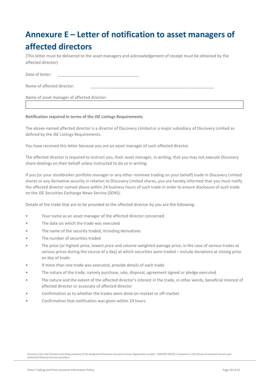# <span id="page-19-0"></span>**Annexure E – Letter of notification to asset managers of affected directors**

(This letter must be delivered to the asset managers and acknowledgement of receipt must be obtained by the affected director)

Date of letter:

Name of affected director:

Name of asset manager of affected director:

#### **Notification required in terms of the JSE Listings Requirements**

The above-named affected director is a director of Discovery Limited or a major subsidiary of Discovery Limited as defined by the JSE Listings Requirements.

You have received this letter because you are an asset manager of such affected director.

The affected director is required to instruct you, their asset manager, in writing, that you may not execute Discovery share dealings on their behalf unless instructed to do so in writing.

If you (or your stockbroker portfolio manager or any other nominee trading on your behalf) trade in Discovery Limited shares or any derivative security in relation to Discovery Limited shares, you are hereby informed that you must notify the affected director named above within 24 business hours of such trade in order to ensure disclosure of such trade on the JSE Securities Exchange News Service (SENS).

Details of the trade that are to be provided to the affected director by you are the following:

- Your name as an asset manager of the affected director concerned
- The date on which the trade was executed
- The name of the security traded, including derivatives
- The number of securities traded
- The price (or highest price, lowest price and volume-weighted average price, in the case of various trades at various prices during the course of a day) at which securities were traded – include donations at closing price on day of trade
- If more than one trade was executed, provide details of each trade
- The nature of the trade, namely purchase, sale, disposal, agreement signed or pledge executed
- The nature and the extent of the affected director's interest in the trade, in other words, beneficial interest of affected director or associate of affected director
- Confirmation as to whether the trades were done on-market or off-market
- Confirmation that notification was given within 24 hours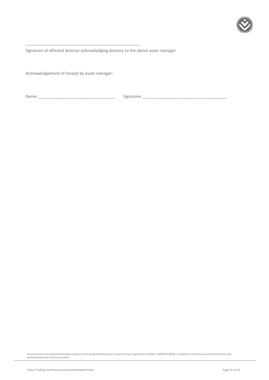

Signature of affected director acknowledging delivery to the above asset manager

Acknowledgement of receipt by asset manager:

\_\_\_\_\_\_\_\_\_\_\_\_\_\_\_\_\_\_\_\_\_\_\_\_\_\_\_\_\_\_\_\_\_\_\_\_\_\_\_\_\_\_\_\_\_\_\_\_\_\_\_

Name: \_\_\_\_\_\_\_\_\_\_\_\_\_\_\_\_\_\_\_\_\_\_\_\_\_\_\_\_\_\_\_\_\_\_ Signature: \_\_\_\_\_\_\_\_\_\_\_\_\_\_\_\_\_\_\_\_\_\_\_\_\_\_\_\_\_\_\_\_\_\_\_\_\_